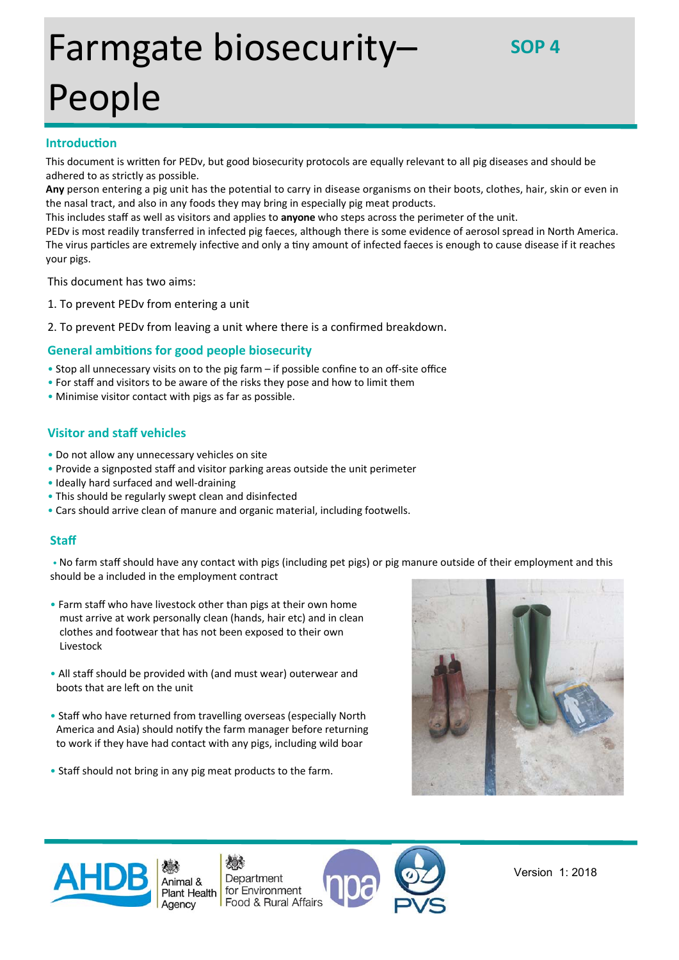# Farmgate biosecurity– People

# **IntroducƟon**

This document is written for PEDv, but good biosecurity protocols are equally relevant to all pig diseases and should be adhered to as strictly as possible.

Any person entering a pig unit has the potential to carry in disease organisms on their boots, clothes, hair, skin or even in the nasal tract, and also in any foods they may bring in especially pig meat products.

This includes staff as well as visitors and applies to **anyone** who steps across the perimeter of the unit.

PEDv is most readily transferred in infected pig faeces, although there is some evidence of aerosol spread in North America. The virus particles are extremely infective and only a tiny amount of infected faeces is enough to cause disease if it reaches your pigs.

This document has two aims:

- 1. To prevent PEDv from entering a unit
- 2. To prevent PEDv from leaving a unit where there is a confirmed breakdown.

## **General ambitions for good people biosecurity**

- Stop all unnecessary visits on to the pig farm if possible confine to an off‐site office
- For staff and visitors to be aware of the risks they pose and how to limit them
- Minimise visitor contact with pigs as far as possible.

## **Visitor and staff vehicles**

- Do not allow any unnecessary vehicles on site
- Provide a signposted staff and visitor parking areas outside the unit perimeter
- Ideally hard surfaced and well‐draining
- This should be regularly swept clean and disinfected
- Cars should arrive clean of manure and organic material, including footwells.

## **Staff**

• No farm staff should have any contact with pigs (including pet pigs) or pig manure outside of their employment and this should be a included in the employment contract

- Farm staff who have livestock other than pigs at their own home must arrive at work personally clean (hands, hair etc) and in clean clothes and footwear that has not been exposed to their own Livestock
- All staff should be provided with (and must wear) outerwear and boots that are left on the unit
- Staff who have returned from travelling overseas (especially North America and Asia) should notify the farm manager before returning to work if they have had contact with any pigs, including wild boar
- Staff should not bring in any pig meat products to the farm.





l

欢 Department Animal & for Environment **Plant Health** Food & Rural Affairs



Version 1: 2018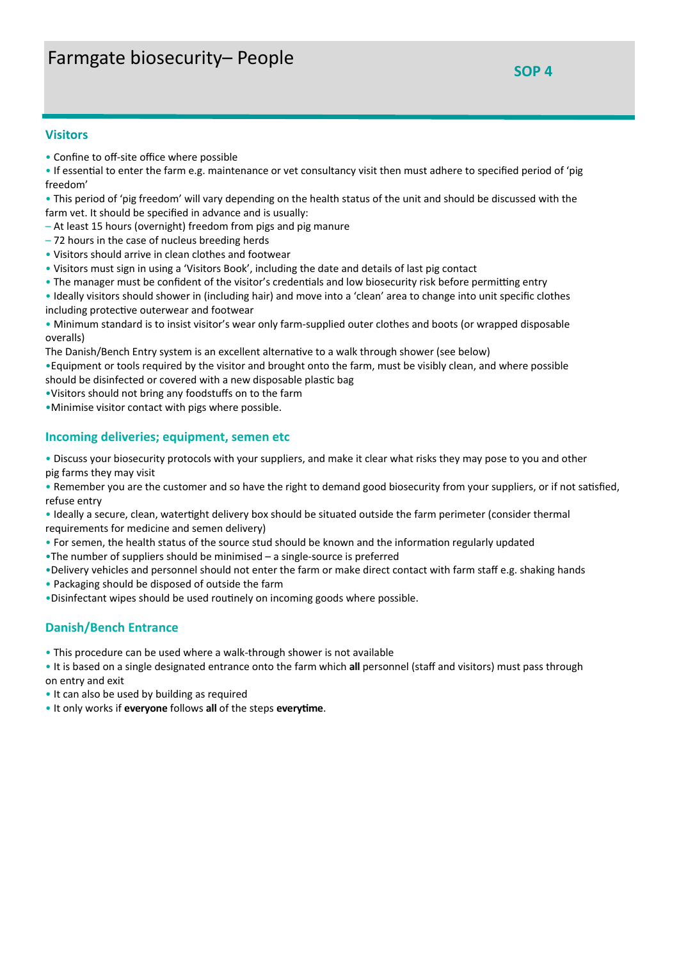## **Visitors**

- Confine to off‐site office where possible
- If essential to enter the farm e.g. maintenance or vet consultancy visit then must adhere to specified period of 'pig freedom'
- This period of 'pig freedom' will vary depending on the health status of the unit and should be discussed with the farm vet. It should be specified in advance and is usually:
- At least 15 hours (overnight) freedom from pigs and pig manure
- 72 hours in the case of nucleus breeding herds
- Visitors should arrive in clean clothes and footwear
- Visitors must sign in using a 'Visitors Book', including the date and details of last pig contact
- The manager must be confident of the visitor's credentials and low biosecurity risk before permitting entry
- Ideally visitors should shower in (including hair) and move into a 'clean' area to change into unit specific clothes including protective outerwear and footwear
- Minimum standard is to insist visitor's wear only farm‐supplied outer clothes and boots (or wrapped disposable overalls)
- The Danish/Bench Entry system is an excellent alternative to a walk through shower (see below)
- •Equipment or tools required by the visitor and brought onto the farm, must be visibly clean, and where possible should be disinfected or covered with a new disposable plastic bag
- •Visitors should not bring any foodstuffs on to the farm
- •Minimise visitor contact with pigs where possible.

## **Incoming deliveries; equipment, semen etc**

- Discuss your biosecurity protocols with your suppliers, and make it clear what risks they may pose to you and other pig farms they may visit
- Remember you are the customer and so have the right to demand good biosecurity from your suppliers, or if not satisfied, refuse entry
- Ideally a secure, clean, watertight delivery box should be situated outside the farm perimeter (consider thermal requirements for medicine and semen delivery)
- For semen, the health status of the source stud should be known and the information regularly updated
- •The number of suppliers should be minimised a single‐source is preferred
- •Delivery vehicles and personnel should not enter the farm or make direct contact with farm staff e.g. shaking hands
- Packaging should be disposed of outside the farm
- •Disinfectant wipes should be used routinely on incoming goods where possible.

## **Danish/Bench Entrance**

- This procedure can be used where a walk‐through shower is not available
- It is based on a single designated entrance onto the farm which **all** personnel (staff and visitors) must pass through on entry and exit
- It can also be used by building as required
- It only works if **everyone** follows **all** of the steps **everyƟme**.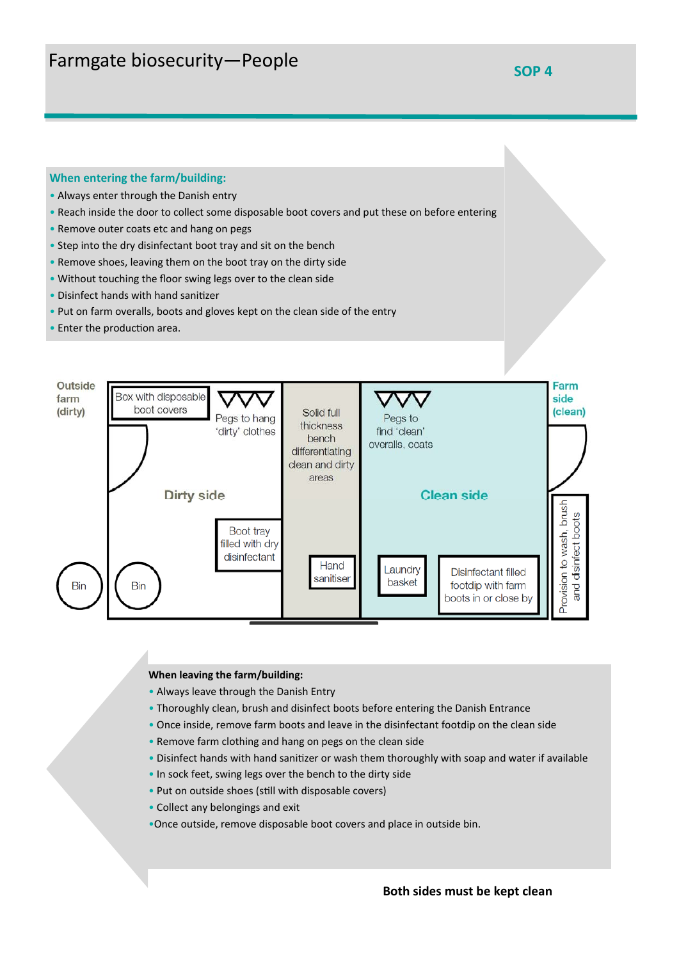### **When entering the farm/building:**

- Always enter through the Danish entry
- Reach inside the door to collect some disposable boot covers and put these on before entering
- Remove outer coats etc and hang on pegs
- Step into the dry disinfectant boot tray and sit on the bench
- Remove shoes, leaving them on the boot tray on the dirty side
- Without touching the floor swing legs over to the clean side
- Disinfect hands with hand sanitizer
- Put on farm overalls, boots and gloves kept on the clean side of the entry
- Enter the production area.



#### **When leaving the farm/building:**

- Always leave through the Danish Entry
- Thoroughly clean, brush and disinfect boots before entering the Danish Entrance
- Once inside, remove farm boots and leave in the disinfectant footdip on the clean side
- Remove farm clothing and hang on pegs on the clean side
- Disinfect hands with hand sanitizer or wash them thoroughly with soap and water if available
- In sock feet, swing legs over the bench to the dirty side
- Put on outside shoes (still with disposable covers)
- Collect any belongings and exit
- •Once outside, remove disposable boot covers and place in outside bin.